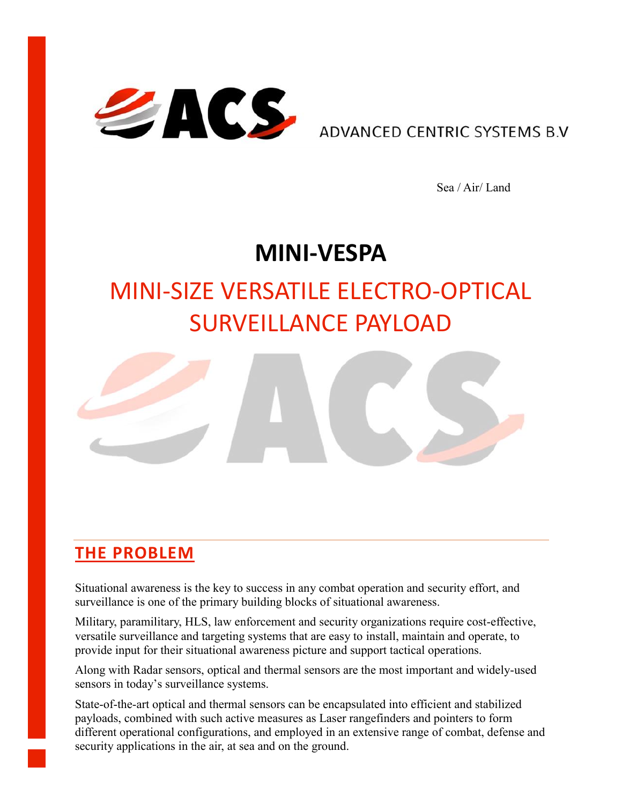

**ADVANCED CENTRIC SYSTEMS B.V.** 

Sea / Air/ Land

## **MINI-VESPA**

# MINI-SIZE VERSATILE ELECTRO-OPTICAL SURVEILLANCE PAYLOAD



#### **THE PROBLEM**

Situational awareness is the key to success in any combat operation and security effort, and surveillance is one of the primary building blocks of situational awareness.

Military, paramilitary, HLS, law enforcement and security organizations require cost-effective, versatile surveillance and targeting systems that are easy to install, maintain and operate, to provide input for their situational awareness picture and support tactical operations.

Along with Radar sensors, optical and thermal sensors are the most important and widely-used sensors in today's surveillance systems.

State-of-the-art optical and thermal sensors can be encapsulated into efficient and stabilized payloads, combined with such active measures as Laser rangefinders and pointers to form different operational configurations, and employed in an extensive range of combat, defense and security applications in the air, at sea and on the ground.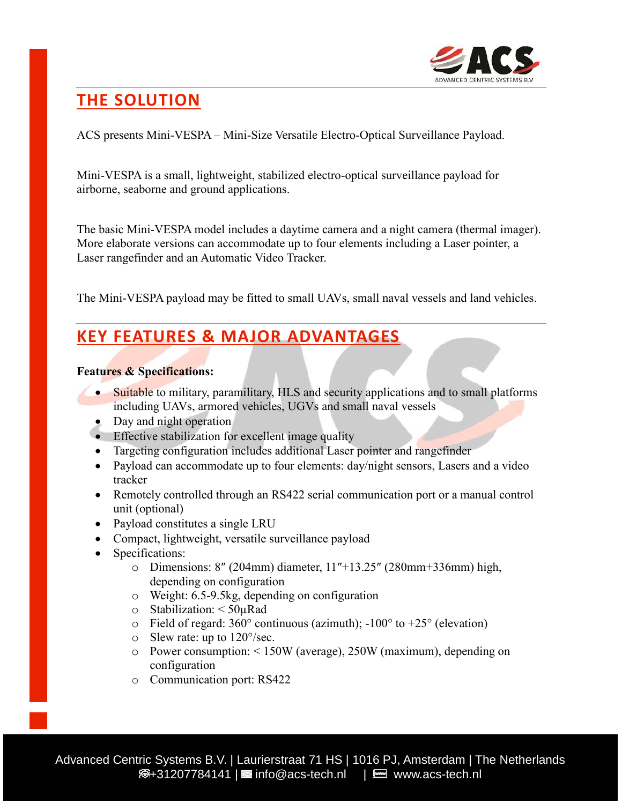

### **THE SOLUTION**

ACS presents Mini-VESPA – Mini-Size Versatile Electro-Optical Surveillance Payload.

Mini-VESPA is a small, lightweight, stabilized electro-optical surveillance payload for airborne, seaborne and ground applications.

The basic Mini-VESPA model includes a daytime camera and a night camera (thermal imager). More elaborate versions can accommodate up to four elements including a Laser pointer, a Laser rangefinder and an Automatic Video Tracker.

The Mini-VESPA payload may be fitted to small UAVs, small naval vessels and land vehicles.

#### **KEY FEATURES & MAJOR ADVANTAGES**

#### **Features & Specifications:**

- Suitable to military, paramilitary, HLS and security applications and to small platforms including UAVs, armored vehicles, UGVs and small naval vessels
- Day and night operation
- Effective stabilization for excellent image quality
- Targeting configuration includes additional Laser pointer and rangefinder
- Payload can accommodate up to four elements: day/night sensors, Lasers and a video tracker
- Remotely controlled through an RS422 serial communication port or a manual control unit (optional)
- Payload constitutes a single LRU
- Compact, lightweight, versatile surveillance payload
- Specifications:
	- o Dimensions: 8″ (204mm) diameter, 11″+13.25″ (280mm+336mm) high, depending on configuration
	- o Weight: 6.5-9.5kg, depending on configuration
	- o Stabilization: < 50µRad
	- $\circ$  Field of regard: 360° continuous (azimuth); -100° to +25° (elevation)
	- o Slew rate: up to 120°/sec.
	- o Power consumption: < 150W (average), 250W (maximum), depending on configuration
	- o Communication port: RS422